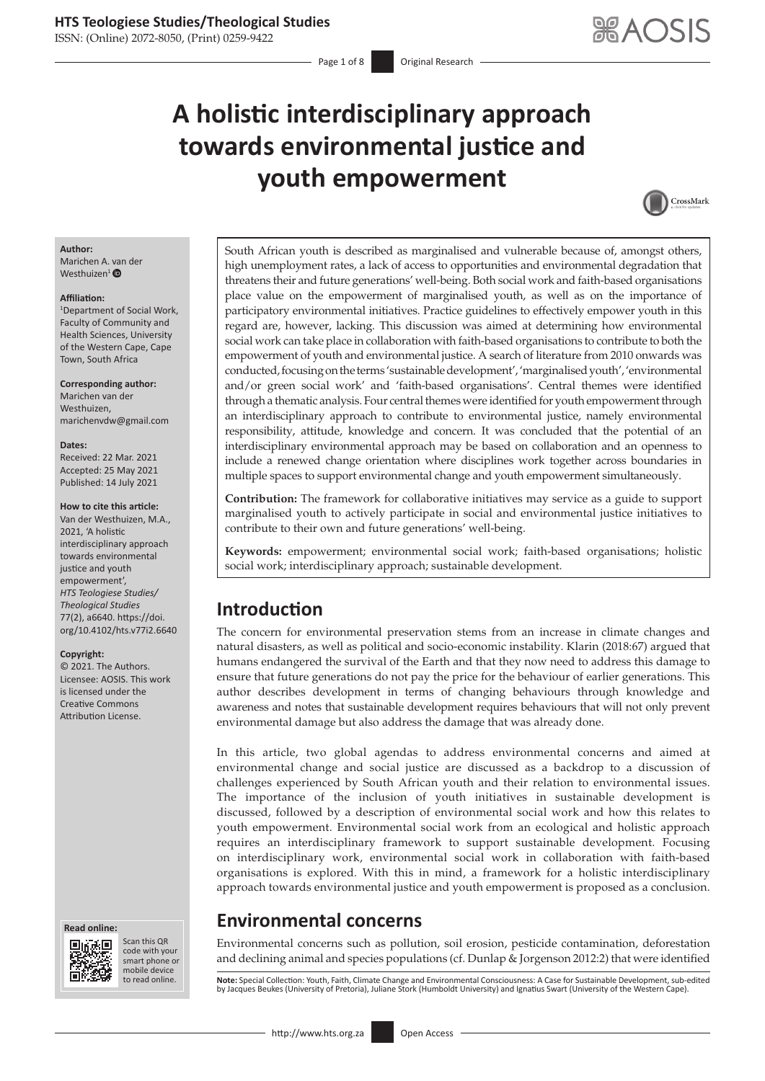ISSN: (Online) 2072-8050, (Print) 0259-9422

# **A holistic interdisciplinary approach towards environmental justice and youth empowerment**



#### **Author:**

Marichen A. van der Westhuizen<sup>[1](http://orcid.org/0000-0003-3535-5592)</sup> $\bullet$ 

#### **Affiliation:**

1 Department of Social Work, Faculty of Community and Health Sciences, University of the Western Cape, Cape Town, South Africa

**Corresponding author:** Marichen van der Westhuizen, [marichenvdw@gmail.com](mailto:marichenvdw@gmail.com)

#### **Dates:**

Received: 22 Mar. 2021 Accepted: 25 May 2021 Published: 14 July 2021

#### **How to cite this article:**

Van der Westhuizen, M.A., 2021, 'A holistic interdisciplinary approach towards environmental justice and youth empowerment', *HTS Teologiese Studies/ Theological Studies* 77(2), a6640. [https://doi.](https://doi.org/10.4102/hts.v77i2.6640) [org/10.4102/hts.v77i2.6640](https://doi.org/10.4102/hts.v77i2.6640)

#### **Copyright:**

© 2021. The Authors. Licensee: AOSIS. This work is licensed under the Creative Commons Attribution License.

#### **Read online: Read online:**



Scan this QR code with your Scan this QR<br>code with your<br>smart phone or<br>mobile device mobile device to read online.

South African youth is described as marginalised and vulnerable because of, amongst others, high unemployment rates, a lack of access to opportunities and environmental degradation that threatens their and future generations' well-being. Both social work and faith-based organisations place value on the empowerment of marginalised youth, as well as on the importance of participatory environmental initiatives. Practice guidelines to effectively empower youth in this regard are, however, lacking. This discussion was aimed at determining how environmental social work can take place in collaboration with faith-based organisations to contribute to both the empowerment of youth and environmental justice. A search of literature from 2010 onwards was conducted, focusing on the terms 'sustainable development', 'marginalised youth', 'environmental and/or green social work' and 'faith-based organisations'. Central themes were identified through a thematic analysis. Four central themes were identified for youth empowerment through an interdisciplinary approach to contribute to environmental justice, namely environmental responsibility, attitude, knowledge and concern. It was concluded that the potential of an interdisciplinary environmental approach may be based on collaboration and an openness to include a renewed change orientation where disciplines work together across boundaries in multiple spaces to support environmental change and youth empowerment simultaneously.

**Contribution:** The framework for collaborative initiatives may service as a guide to support marginalised youth to actively participate in social and environmental justice initiatives to contribute to their own and future generations' well-being.

**Keywords:** empowerment; environmental social work; faith-based organisations; holistic social work; interdisciplinary approach; sustainable development.

# **Introduction**

The concern for environmental preservation stems from an increase in climate changes and natural disasters, as well as political and socio-economic instability. Klarin (2018:67) argued that humans endangered the survival of the Earth and that they now need to address this damage to ensure that future generations do not pay the price for the behaviour of earlier generations. This author describes development in terms of changing behaviours through knowledge and awareness and notes that sustainable development requires behaviours that will not only prevent environmental damage but also address the damage that was already done.

In this article, two global agendas to address environmental concerns and aimed at environmental change and social justice are discussed as a backdrop to a discussion of challenges experienced by South African youth and their relation to environmental issues. The importance of the inclusion of youth initiatives in sustainable development is discussed, followed by a description of environmental social work and how this relates to youth empowerment. Environmental social work from an ecological and holistic approach requires an interdisciplinary framework to support sustainable development. Focusing on interdisciplinary work, environmental social work in collaboration with faith-based organisations is explored. With this in mind, a framework for a holistic interdisciplinary approach towards environmental justice and youth empowerment is proposed as a conclusion.

### **Environmental concerns**

Environmental concerns such as pollution, soil erosion, pesticide contamination, deforestation and declining animal and species populations (cf. Dunlap & Jorgenson 2012:2) that were identified

Note: Special Collection: Youth, Faith, Climate Change and Environmental Consciousness: A Case for Sustainable Development, sub-edited by Jacques Beukes (University of Pretoria), Juliane Stork (Humboldt University) and Ignatius Swart (University of the Western Cape).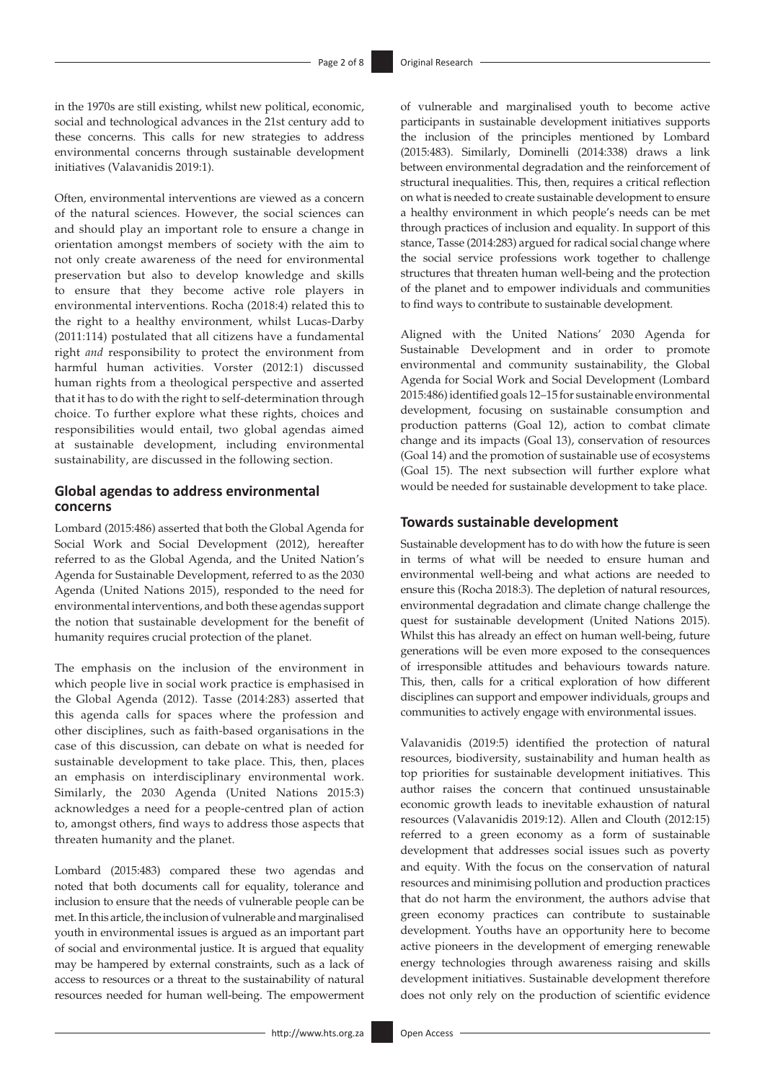in the 1970s are still existing, whilst new political, economic, social and technological advances in the 21st century add to these concerns. This calls for new strategies to address environmental concerns through sustainable development initiatives (Valavanidis 2019:1).

Often, environmental interventions are viewed as a concern of the natural sciences. However, the social sciences can and should play an important role to ensure a change in orientation amongst members of society with the aim to not only create awareness of the need for environmental preservation but also to develop knowledge and skills to ensure that they become active role players in environmental interventions. Rocha (2018:4) related this to the right to a healthy environment, whilst Lucas-Darby (2011:114) postulated that all citizens have a fundamental right *and* responsibility to protect the environment from harmful human activities. Vorster (2012:1) discussed human rights from a theological perspective and asserted that it has to do with the right to self-determination through choice. To further explore what these rights, choices and responsibilities would entail, two global agendas aimed at sustainable development, including environmental sustainability, are discussed in the following section.

#### **Global agendas to address environmental concerns**

Lombard (2015:486) asserted that both the Global Agenda for Social Work and Social Development (2012), hereafter referred to as the Global Agenda, and the United Nation's Agenda for Sustainable Development, referred to as the 2030 Agenda (United Nations 2015), responded to the need for environmental interventions, and both these agendas support the notion that sustainable development for the benefit of humanity requires crucial protection of the planet.

The emphasis on the inclusion of the environment in which people live in social work practice is emphasised in the Global Agenda (2012). Tasse (2014:283) asserted that this agenda calls for spaces where the profession and other disciplines, such as faith-based organisations in the case of this discussion, can debate on what is needed for sustainable development to take place. This, then, places an emphasis on interdisciplinary environmental work. Similarly, the 2030 Agenda (United Nations 2015:3) acknowledges a need for a people-centred plan of action to, amongst others, find ways to address those aspects that threaten humanity and the planet.

Lombard (2015:483) compared these two agendas and noted that both documents call for equality, tolerance and inclusion to ensure that the needs of vulnerable people can be met. In this article, the inclusion of vulnerable and marginalised youth in environmental issues is argued as an important part of social and environmental justice. It is argued that equality may be hampered by external constraints, such as a lack of access to resources or a threat to the sustainability of natural resources needed for human well-being. The empowerment of vulnerable and marginalised youth to become active participants in sustainable development initiatives supports the inclusion of the principles mentioned by Lombard (2015:483). Similarly, Dominelli (2014:338) draws a link between environmental degradation and the reinforcement of structural inequalities. This, then, requires a critical reflection on what is needed to create sustainable development to ensure a healthy environment in which people's needs can be met through practices of inclusion and equality. In support of this stance, Tasse (2014:283) argued for radical social change where the social service professions work together to challenge structures that threaten human well-being and the protection of the planet and to empower individuals and communities to find ways to contribute to sustainable development.

Aligned with the United Nations' 2030 Agenda for Sustainable Development and in order to promote environmental and community sustainability, the Global Agenda for Social Work and Social Development (Lombard 2015:486) identified goals 12–15 for sustainable environmental development, focusing on sustainable consumption and production patterns (Goal 12), action to combat climate change and its impacts (Goal 13), conservation of resources (Goal 14) and the promotion of sustainable use of ecosystems (Goal 15). The next subsection will further explore what would be needed for sustainable development to take place.

#### **Towards sustainable development**

Sustainable development has to do with how the future is seen in terms of what will be needed to ensure human and environmental well-being and what actions are needed to ensure this (Rocha 2018:3). The depletion of natural resources, environmental degradation and climate change challenge the quest for sustainable development (United Nations 2015). Whilst this has already an effect on human well-being, future generations will be even more exposed to the consequences of irresponsible attitudes and behaviours towards nature. This, then, calls for a critical exploration of how different disciplines can support and empower individuals, groups and communities to actively engage with environmental issues.

Valavanidis (2019:5) identified the protection of natural resources, biodiversity, sustainability and human health as top priorities for sustainable development initiatives. This author raises the concern that continued unsustainable economic growth leads to inevitable exhaustion of natural resources (Valavanidis 2019:12). Allen and Clouth (2012:15) referred to a green economy as a form of sustainable development that addresses social issues such as poverty and equity. With the focus on the conservation of natural resources and minimising pollution and production practices that do not harm the environment, the authors advise that green economy practices can contribute to sustainable development. Youths have an opportunity here to become active pioneers in the development of emerging renewable energy technologies through awareness raising and skills development initiatives. Sustainable development therefore does not only rely on the production of scientific evidence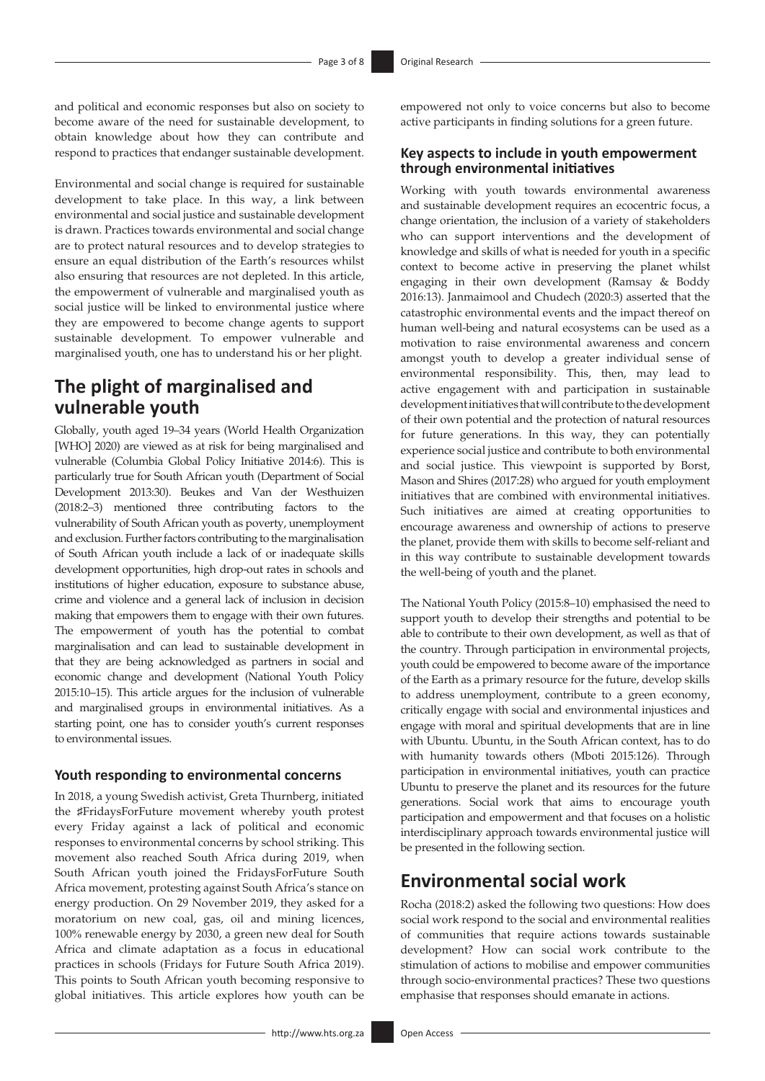and political and economic responses but also on society to become aware of the need for sustainable development, to obtain knowledge about how they can contribute and respond to practices that endanger sustainable development.

Environmental and social change is required for sustainable development to take place. In this way, a link between environmental and social justice and sustainable development is drawn. Practices towards environmental and social change are to protect natural resources and to develop strategies to ensure an equal distribution of the Earth's resources whilst also ensuring that resources are not depleted. In this article, the empowerment of vulnerable and marginalised youth as social justice will be linked to environmental justice where they are empowered to become change agents to support sustainable development. To empower vulnerable and marginalised youth, one has to understand his or her plight.

# **The plight of marginalised and vulnerable youth**

Globally, youth aged 19–34 years (World Health Organization [WHO] 2020) are viewed as at risk for being marginalised and vulnerable (Columbia Global Policy Initiative 2014:6). This is particularly true for South African youth (Department of Social Development 2013:30). Beukes and Van der Westhuizen (2018:2–3) mentioned three contributing factors to the vulnerability of South African youth as poverty, unemployment and exclusion. Further factors contributing to the marginalisation of South African youth include a lack of or inadequate skills development opportunities, high drop-out rates in schools and institutions of higher education, exposure to substance abuse, crime and violence and a general lack of inclusion in decision making that empowers them to engage with their own futures. The empowerment of youth has the potential to combat marginalisation and can lead to sustainable development in that they are being acknowledged as partners in social and economic change and development (National Youth Policy 2015:10–15). This article argues for the inclusion of vulnerable and marginalised groups in environmental initiatives. As a starting point, one has to consider youth's current responses to environmental issues.

#### **Youth responding to environmental concerns**

In 2018, a young Swedish activist, Greta Thurnberg, initiated the ♯FridaysForFuture movement whereby youth protest every Friday against a lack of political and economic responses to environmental concerns by school striking. This movement also reached South Africa during 2019, when South African youth joined the FridaysForFuture South Africa movement, protesting against South Africa's stance on energy production. On 29 November 2019, they asked for a moratorium on new coal, gas, oil and mining licences, 100% renewable energy by 2030, a green new deal for South Africa and climate adaptation as a focus in educational practices in schools (Fridays for Future South Africa 2019). This points to South African youth becoming responsive to global initiatives. This article explores how youth can be

empowered not only to voice concerns but also to become active participants in finding solutions for a green future.

### **Key aspects to include in youth empowerment through environmental initiatives**

Working with youth towards environmental awareness and sustainable development requires an ecocentric focus, a change orientation, the inclusion of a variety of stakeholders who can support interventions and the development of knowledge and skills of what is needed for youth in a specific context to become active in preserving the planet whilst engaging in their own development (Ramsay & Boddy 2016:13). Janmaimool and Chudech (2020:3) asserted that the catastrophic environmental events and the impact thereof on human well-being and natural ecosystems can be used as a motivation to raise environmental awareness and concern amongst youth to develop a greater individual sense of environmental responsibility. This, then, may lead to active engagement with and participation in sustainable development initiatives that will contribute to the development of their own potential and the protection of natural resources for future generations. In this way, they can potentially experience social justice and contribute to both environmental and social justice. This viewpoint is supported by Borst, Mason and Shires (2017:28) who argued for youth employment initiatives that are combined with environmental initiatives. Such initiatives are aimed at creating opportunities to encourage awareness and ownership of actions to preserve the planet, provide them with skills to become self-reliant and in this way contribute to sustainable development towards the well-being of youth and the planet.

The National Youth Policy (2015:8–10) emphasised the need to support youth to develop their strengths and potential to be able to contribute to their own development, as well as that of the country. Through participation in environmental projects, youth could be empowered to become aware of the importance of the Earth as a primary resource for the future, develop skills to address unemployment, contribute to a green economy, critically engage with social and environmental injustices and engage with moral and spiritual developments that are in line with Ubuntu. Ubuntu, in the South African context, has to do with humanity towards others (Mboti 2015:126). Through participation in environmental initiatives, youth can practice Ubuntu to preserve the planet and its resources for the future generations. Social work that aims to encourage youth participation and empowerment and that focuses on a holistic interdisciplinary approach towards environmental justice will be presented in the following section.

### **Environmental social work**

Rocha (2018:2) asked the following two questions: How does social work respond to the social and environmental realities of communities that require actions towards sustainable development? How can social work contribute to the stimulation of actions to mobilise and empower communities through socio-environmental practices? These two questions emphasise that responses should emanate in actions.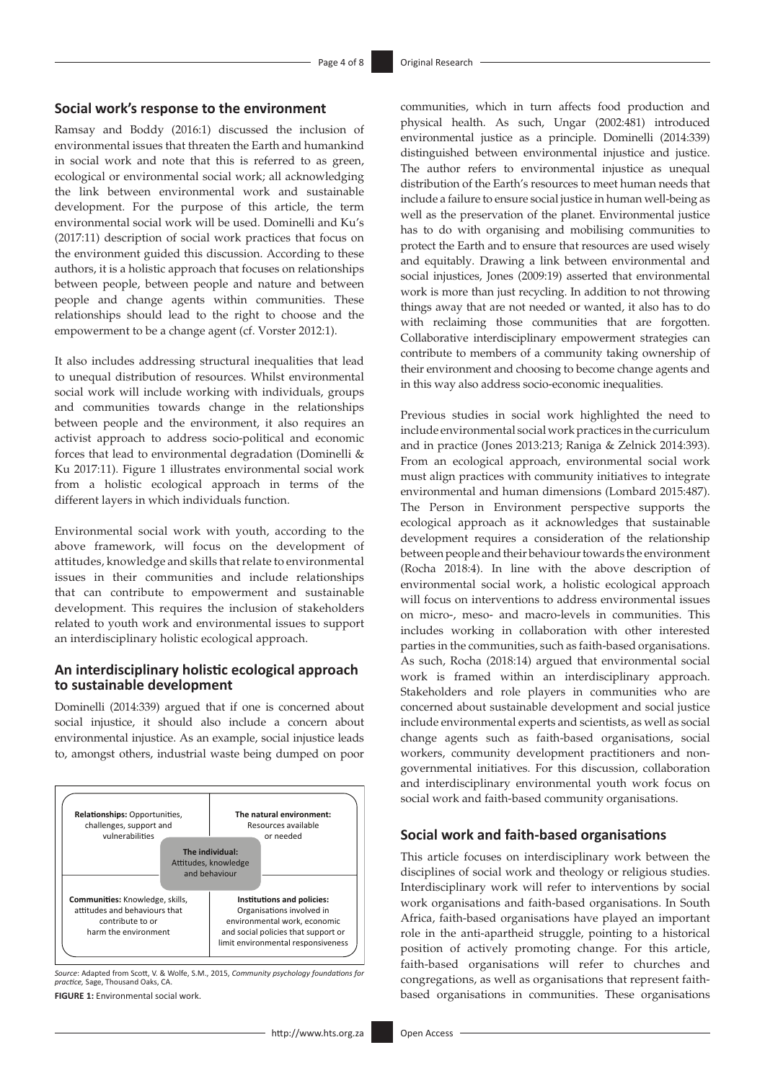#### **Social work's response to the environment**

Ramsay and Boddy (2016:1) discussed the inclusion of environmental issues that threaten the Earth and humankind in social work and note that this is referred to as green, ecological or environmental social work; all acknowledging the link between environmental work and sustainable development. For the purpose of this article, the term environmental social work will be used. Dominelli and Ku's (2017:11) description of social work practices that focus on the environment guided this discussion. According to these authors, it is a holistic approach that focuses on relationships between people, between people and nature and between people and change agents within communities. These relationships should lead to the right to choose and the empowerment to be a change agent (cf. Vorster 2012:1).

It also includes addressing structural inequalities that lead to unequal distribution of resources. Whilst environmental social work will include working with individuals, groups and communities towards change in the relationships between people and the environment, it also requires an activist approach to address socio-political and economic forces that lead to environmental degradation (Dominelli & Ku 2017:11). Figure 1 illustrates environmental social work from a holistic ecological approach in terms of the different layers in which individuals function.

Environmental social work with youth, according to the above framework, will focus on the development of attitudes, knowledge and skills that relate to environmental issues in their communities and include relationships that can contribute to empowerment and sustainable development. This requires the inclusion of stakeholders related to youth work and environmental issues to support an interdisciplinary holistic ecological approach.

### **An interdisciplinary holistic ecological approach to sustainable development**

Dominelli (2014:339) argued that if one is concerned about social injustice, it should also include a concern about environmental injustice. As an example, social injustice leads to, amongst others, industrial waste being dumped on poor



*Source*: Adapted from Scott, V. & Wolfe, S.M., 2015, *Community psychology foundations for practice,* Sage, Thousand Oaks, CA.

**FIGURE 1:** Environmental social work.

communities, which in turn affects food production and physical health. As such, Ungar (2002:481) introduced environmental justice as a principle. Dominelli (2014:339) distinguished between environmental injustice and justice. The author refers to environmental injustice as unequal distribution of the Earth's resources to meet human needs that include a failure to ensure social justice in human well-being as well as the preservation of the planet. Environmental justice has to do with organising and mobilising communities to protect the Earth and to ensure that resources are used wisely and equitably. Drawing a link between environmental and social injustices, Jones (2009:19) asserted that environmental work is more than just recycling. In addition to not throwing things away that are not needed or wanted, it also has to do with reclaiming those communities that are forgotten. Collaborative interdisciplinary empowerment strategies can contribute to members of a community taking ownership of their environment and choosing to become change agents and in this way also address socio-economic inequalities.

Previous studies in social work highlighted the need to include environmental social work practices in the curriculum and in practice (Jones 2013:213; Raniga & Zelnick 2014:393). From an ecological approach, environmental social work must align practices with community initiatives to integrate environmental and human dimensions (Lombard 2015:487). The Person in Environment perspective supports the ecological approach as it acknowledges that sustainable development requires a consideration of the relationship between people and their behaviour towards the environment (Rocha 2018:4). In line with the above description of environmental social work, a holistic ecological approach will focus on interventions to address environmental issues on micro-, meso- and macro-levels in communities. This includes working in collaboration with other interested parties in the communities, such as faith-based organisations. As such, Rocha (2018:14) argued that environmental social work is framed within an interdisciplinary approach. Stakeholders and role players in communities who are concerned about sustainable development and social justice include environmental experts and scientists, as well as social change agents such as faith-based organisations, social workers, community development practitioners and nongovernmental initiatives. For this discussion, collaboration and interdisciplinary environmental youth work focus on social work and faith-based community organisations.

#### **Social work and faith-based organisations**

This article focuses on interdisciplinary work between the disciplines of social work and theology or religious studies. Interdisciplinary work will refer to interventions by social work organisations and faith-based organisations. In South Africa, faith-based organisations have played an important role in the anti-apartheid struggle, pointing to a historical position of actively promoting change. For this article, faith-based organisations will refer to churches and congregations, as well as organisations that represent faithbased organisations in communities. These organisations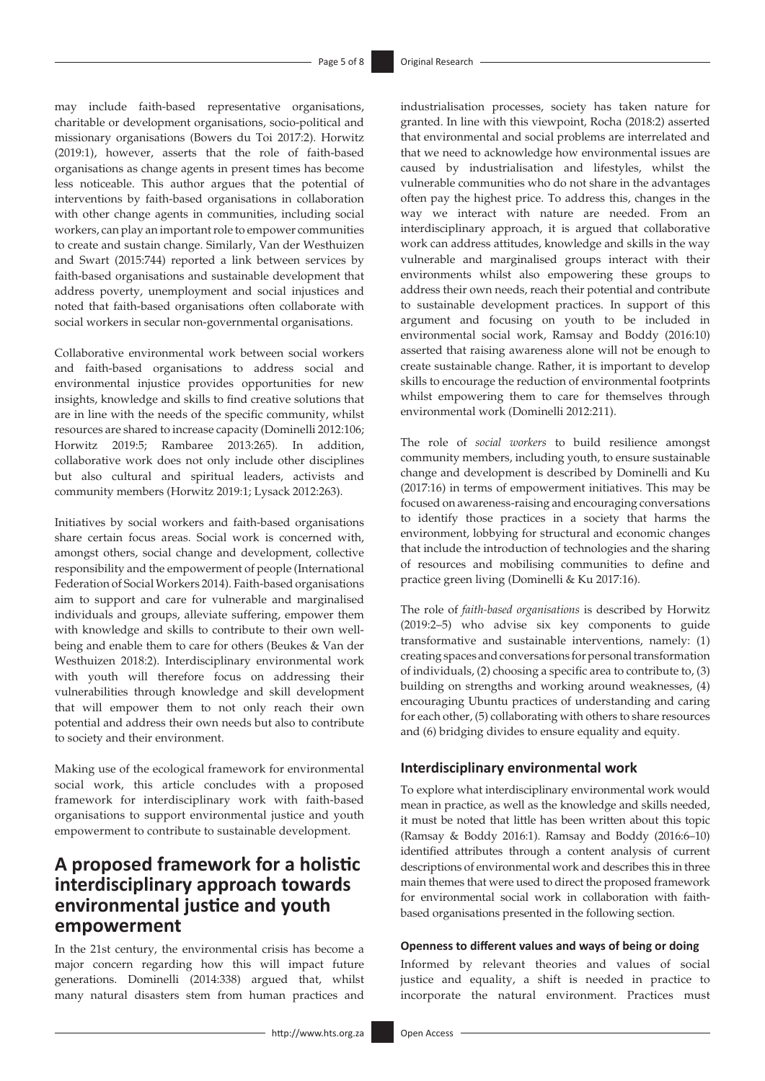may include faith-based representative organisations, charitable or development organisations, socio-political and missionary organisations (Bowers du Toi 2017:2). Horwitz (2019:1), however, asserts that the role of faith-based organisations as change agents in present times has become less noticeable. This author argues that the potential of interventions by faith-based organisations in collaboration with other change agents in communities, including social workers, can play an important role to empower communities to create and sustain change. Similarly, Van der Westhuizen and Swart (2015:744) reported a link between services by faith-based organisations and sustainable development that address poverty, unemployment and social injustices and noted that faith-based organisations often collaborate with social workers in secular non-governmental organisations.

Collaborative environmental work between social workers and faith-based organisations to address social and environmental injustice provides opportunities for new insights, knowledge and skills to find creative solutions that are in line with the needs of the specific community, whilst resources are shared to increase capacity (Dominelli 2012:106; Horwitz 2019:5; Rambaree 2013:265). In addition, collaborative work does not only include other disciplines but also cultural and spiritual leaders, activists and community members (Horwitz 2019:1; Lysack 2012:263).

Initiatives by social workers and faith-based organisations share certain focus areas. Social work is concerned with, amongst others, social change and development, collective responsibility and the empowerment of people (International Federation of Social Workers 2014). Faith-based organisations aim to support and care for vulnerable and marginalised individuals and groups, alleviate suffering, empower them with knowledge and skills to contribute to their own wellbeing and enable them to care for others (Beukes & Van der Westhuizen 2018:2). Interdisciplinary environmental work with youth will therefore focus on addressing their vulnerabilities through knowledge and skill development that will empower them to not only reach their own potential and address their own needs but also to contribute to society and their environment.

Making use of the ecological framework for environmental social work, this article concludes with a proposed framework for interdisciplinary work with faith-based organisations to support environmental justice and youth empowerment to contribute to sustainable development.

# **A proposed framework for a holistic interdisciplinary approach towards environmental justice and youth empowerment**

In the 21st century, the environmental crisis has become a major concern regarding how this will impact future generations. Dominelli (2014:338) argued that, whilst many natural disasters stem from human practices and

industrialisation processes, society has taken nature for granted. In line with this viewpoint, Rocha (2018:2) asserted that environmental and social problems are interrelated and that we need to acknowledge how environmental issues are caused by industrialisation and lifestyles, whilst the vulnerable communities who do not share in the advantages often pay the highest price. To address this, changes in the way we interact with nature are needed. From an interdisciplinary approach, it is argued that collaborative work can address attitudes, knowledge and skills in the way vulnerable and marginalised groups interact with their environments whilst also empowering these groups to address their own needs, reach their potential and contribute to sustainable development practices. In support of this argument and focusing on youth to be included in environmental social work, Ramsay and Boddy (2016:10) asserted that raising awareness alone will not be enough to create sustainable change. Rather, it is important to develop skills to encourage the reduction of environmental footprints whilst empowering them to care for themselves through environmental work (Dominelli 2012:211).

The role of *social workers* to build resilience amongst community members, including youth, to ensure sustainable change and development is described by Dominelli and Ku (2017:16) in terms of empowerment initiatives. This may be focused on awareness-raising and encouraging conversations to identify those practices in a society that harms the environment, lobbying for structural and economic changes that include the introduction of technologies and the sharing of resources and mobilising communities to define and practice green living (Dominelli & Ku 2017:16).

The role of *faith-based organisations* is described by Horwitz (2019:2–5) who advise six key components to guide transformative and sustainable interventions, namely: (1) creating spaces and conversations for personal transformation of individuals, (2) choosing a specific area to contribute to, (3) building on strengths and working around weaknesses, (4) encouraging Ubuntu practices of understanding and caring for each other, (5) collaborating with others to share resources and (6) bridging divides to ensure equality and equity.

#### **Interdisciplinary environmental work**

To explore what interdisciplinary environmental work would mean in practice, as well as the knowledge and skills needed, it must be noted that little has been written about this topic (Ramsay & Boddy 2016:1). Ramsay and Boddy (2016:6–10) identified attributes through a content analysis of current descriptions of environmental work and describes this in three main themes that were used to direct the proposed framework for environmental social work in collaboration with faithbased organisations presented in the following section.

#### **Openness to different values and ways of being or doing**

Informed by relevant theories and values of social justice and equality, a shift is needed in practice to incorporate the natural environment. Practices must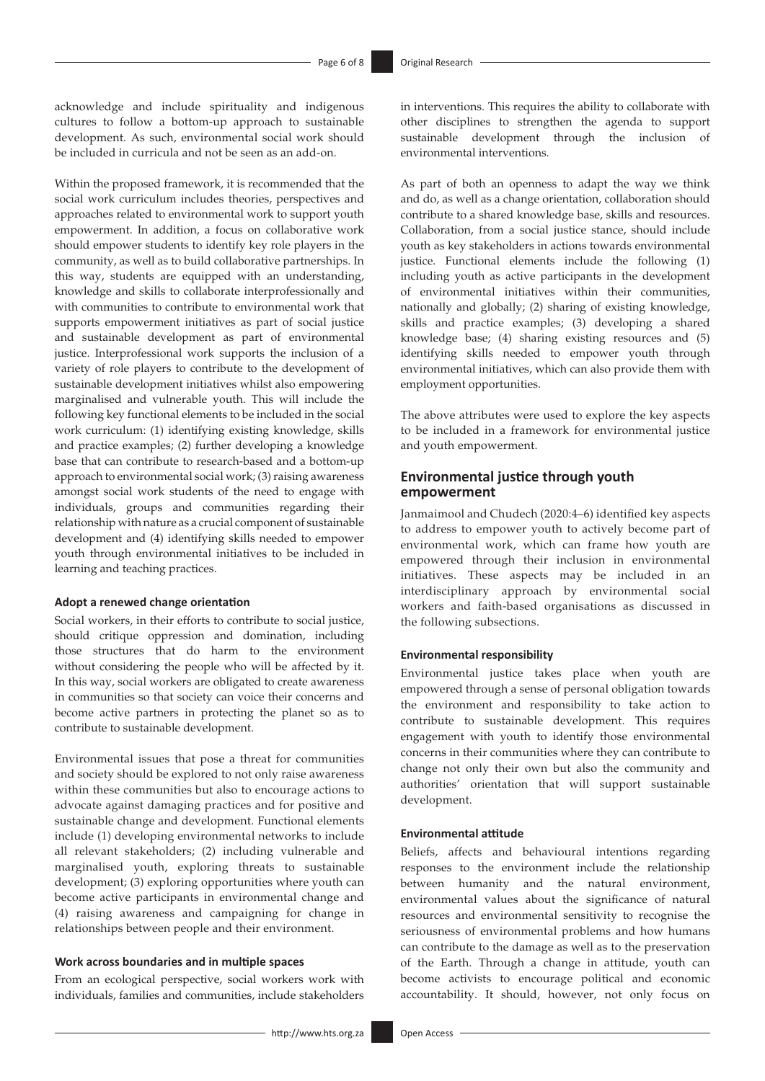acknowledge and include spirituality and indigenous cultures to follow a bottom-up approach to sustainable development. As such, environmental social work should be included in curricula and not be seen as an add-on.

Within the proposed framework, it is recommended that the social work curriculum includes theories, perspectives and approaches related to environmental work to support youth empowerment. In addition, a focus on collaborative work should empower students to identify key role players in the community, as well as to build collaborative partnerships. In this way, students are equipped with an understanding, knowledge and skills to collaborate interprofessionally and with communities to contribute to environmental work that supports empowerment initiatives as part of social justice and sustainable development as part of environmental justice. Interprofessional work supports the inclusion of a variety of role players to contribute to the development of sustainable development initiatives whilst also empowering marginalised and vulnerable youth. This will include the following key functional elements to be included in the social work curriculum: (1) identifying existing knowledge, skills and practice examples; (2) further developing a knowledge base that can contribute to research-based and a bottom-up approach to environmental social work; (3) raising awareness amongst social work students of the need to engage with individuals, groups and communities regarding their relationship with nature as a crucial component of sustainable development and (4) identifying skills needed to empower youth through environmental initiatives to be included in learning and teaching practices.

#### **Adopt a renewed change orientation**

Social workers, in their efforts to contribute to social justice, should critique oppression and domination, including those structures that do harm to the environment without considering the people who will be affected by it. In this way, social workers are obligated to create awareness in communities so that society can voice their concerns and become active partners in protecting the planet so as to contribute to sustainable development.

Environmental issues that pose a threat for communities and society should be explored to not only raise awareness within these communities but also to encourage actions to advocate against damaging practices and for positive and sustainable change and development. Functional elements include (1) developing environmental networks to include all relevant stakeholders; (2) including vulnerable and marginalised youth, exploring threats to sustainable development; (3) exploring opportunities where youth can become active participants in environmental change and (4) raising awareness and campaigning for change in relationships between people and their environment.

#### **Work across boundaries and in multiple spaces**

From an ecological perspective, social workers work with individuals, families and communities, include stakeholders

in interventions. This requires the ability to collaborate with other disciplines to strengthen the agenda to support sustainable development through the inclusion of environmental interventions.

As part of both an openness to adapt the way we think and do, as well as a change orientation, collaboration should contribute to a shared knowledge base, skills and resources. Collaboration, from a social justice stance, should include youth as key stakeholders in actions towards environmental justice. Functional elements include the following (1) including youth as active participants in the development of environmental initiatives within their communities, nationally and globally; (2) sharing of existing knowledge, skills and practice examples; (3) developing a shared knowledge base; (4) sharing existing resources and (5) identifying skills needed to empower youth through environmental initiatives, which can also provide them with employment opportunities.

The above attributes were used to explore the key aspects to be included in a framework for environmental justice and youth empowerment.

### **Environmental justice through youth empowerment**

Janmaimool and Chudech (2020:4–6) identified key aspects to address to empower youth to actively become part of environmental work, which can frame how youth are empowered through their inclusion in environmental initiatives. These aspects may be included in an interdisciplinary approach by environmental social workers and faith-based organisations as discussed in the following subsections.

#### **Environmental responsibility**

Environmental justice takes place when youth are empowered through a sense of personal obligation towards the environment and responsibility to take action to contribute to sustainable development. This requires engagement with youth to identify those environmental concerns in their communities where they can contribute to change not only their own but also the community and authorities' orientation that will support sustainable development.

#### **Environmental attitude**

Beliefs, affects and behavioural intentions regarding responses to the environment include the relationship between humanity and the natural environment, environmental values about the significance of natural resources and environmental sensitivity to recognise the seriousness of environmental problems and how humans can contribute to the damage as well as to the preservation of the Earth. Through a change in attitude, youth can become activists to encourage political and economic accountability. It should, however, not only focus on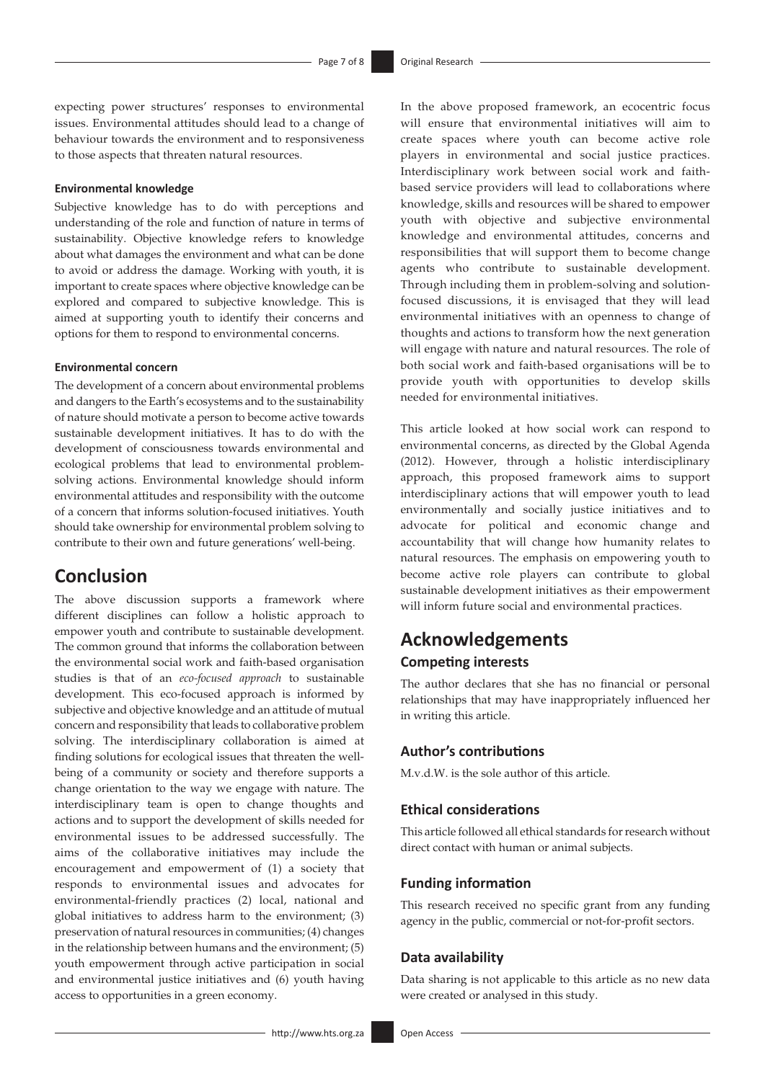expecting power structures' responses to environmental issues. Environmental attitudes should lead to a change of behaviour towards the environment and to responsiveness to those aspects that threaten natural resources.

#### **Environmental knowledge**

Subjective knowledge has to do with perceptions and understanding of the role and function of nature in terms of sustainability. Objective knowledge refers to knowledge about what damages the environment and what can be done to avoid or address the damage. Working with youth, it is important to create spaces where objective knowledge can be explored and compared to subjective knowledge. This is aimed at supporting youth to identify their concerns and options for them to respond to environmental concerns.

#### **Environmental concern**

The development of a concern about environmental problems and dangers to the Earth's ecosystems and to the sustainability of nature should motivate a person to become active towards sustainable development initiatives. It has to do with the development of consciousness towards environmental and ecological problems that lead to environmental problemsolving actions. Environmental knowledge should inform environmental attitudes and responsibility with the outcome of a concern that informs solution-focused initiatives. Youth should take ownership for environmental problem solving to contribute to their own and future generations' well-being.

### **Conclusion**

The above discussion supports a framework where different disciplines can follow a holistic approach to empower youth and contribute to sustainable development. The common ground that informs the collaboration between the environmental social work and faith-based organisation studies is that of an *eco-focused approach* to sustainable development. This eco-focused approach is informed by subjective and objective knowledge and an attitude of mutual concern and responsibility that leads to collaborative problem solving. The interdisciplinary collaboration is aimed at finding solutions for ecological issues that threaten the wellbeing of a community or society and therefore supports a change orientation to the way we engage with nature. The interdisciplinary team is open to change thoughts and actions and to support the development of skills needed for environmental issues to be addressed successfully. The aims of the collaborative initiatives may include the encouragement and empowerment of (1) a society that responds to environmental issues and advocates for environmental-friendly practices (2) local, national and global initiatives to address harm to the environment; (3) preservation of natural resources in communities; (4) changes in the relationship between humans and the environment; (5) youth empowerment through active participation in social and environmental justice initiatives and (6) youth having access to opportunities in a green economy.

In the above proposed framework, an ecocentric focus will ensure that environmental initiatives will aim to create spaces where youth can become active role players in environmental and social justice practices. Interdisciplinary work between social work and faithbased service providers will lead to collaborations where knowledge, skills and resources will be shared to empower youth with objective and subjective environmental knowledge and environmental attitudes, concerns and responsibilities that will support them to become change agents who contribute to sustainable development. Through including them in problem-solving and solutionfocused discussions, it is envisaged that they will lead environmental initiatives with an openness to change of thoughts and actions to transform how the next generation will engage with nature and natural resources. The role of both social work and faith-based organisations will be to provide youth with opportunities to develop skills needed for environmental initiatives.

This article looked at how social work can respond to environmental concerns, as directed by the Global Agenda (2012). However, through a holistic interdisciplinary approach, this proposed framework aims to support interdisciplinary actions that will empower youth to lead environmentally and socially justice initiatives and to advocate for political and economic change and accountability that will change how humanity relates to natural resources. The emphasis on empowering youth to become active role players can contribute to global sustainable development initiatives as their empowerment will inform future social and environmental practices.

# **Acknowledgements Competing interests**

The author declares that she has no financial or personal relationships that may have inappropriately influenced her in writing this article.

### **Author's contributions**

M.v.d.W. is the sole author of this article.

### **Ethical considerations**

This article followed all ethical standards for research without direct contact with human or animal subjects.

#### **Funding information**

This research received no specific grant from any funding agency in the public, commercial or not-for-profit sectors.

#### **Data availability**

Data sharing is not applicable to this article as no new data were created or analysed in this study.